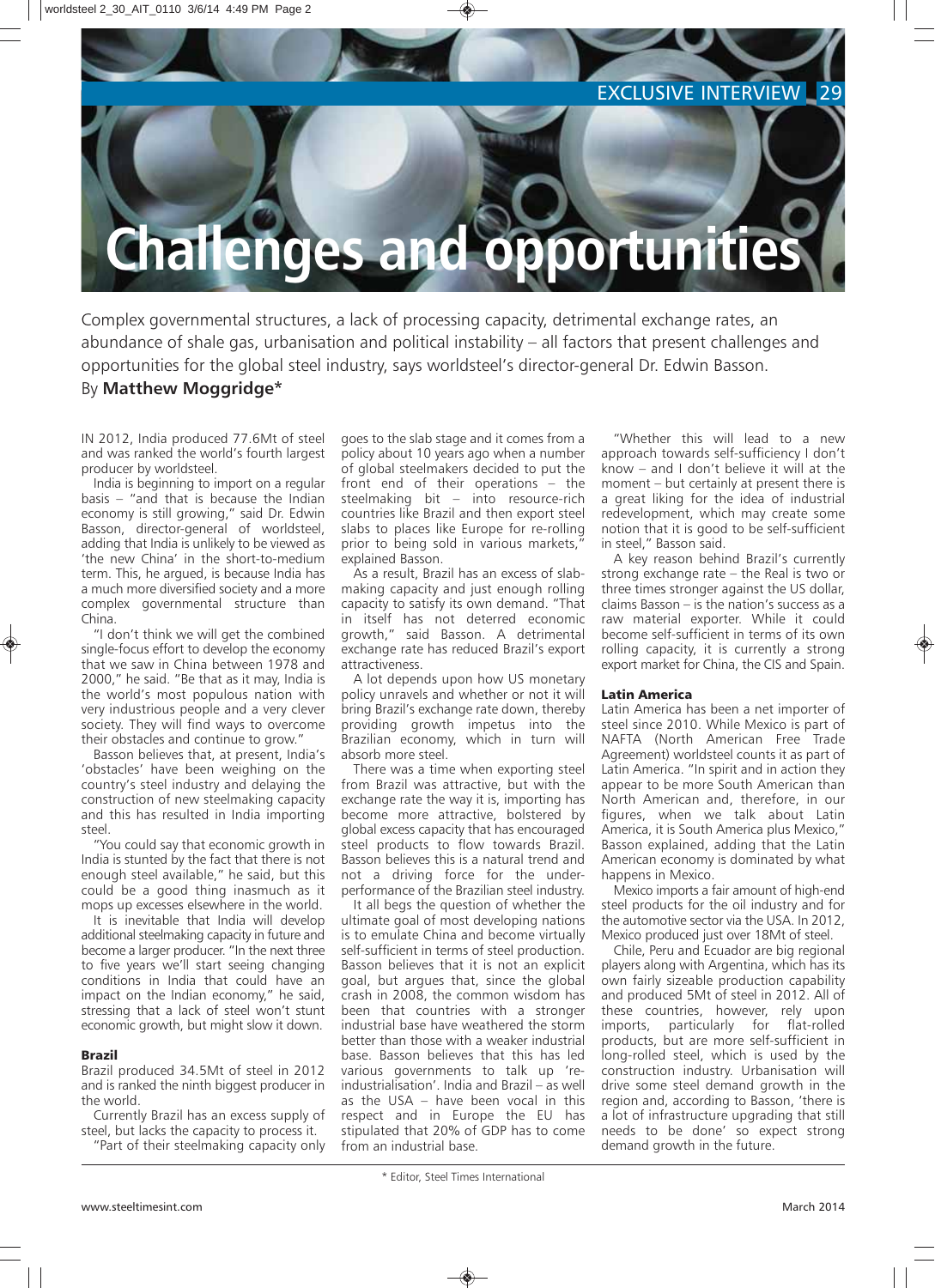# EXCLUSIVE INTERVIEW 29

# **Challenges and opportunities**

Complex governmental structures, a lack of processing capacity, detrimental exchange rates, an abundance of shale gas, urbanisation and political instability – all factors that present challenges and opportunities for the global steel industry, says worldsteel's director-general Dr. Edwin Basson. By **Matthew Moggridge\***

IN 2012, India produced 77.6Mt of steel and was ranked the world's fourth largest producer by worldsteel.

India is beginning to import on a regular basis – "and that is because the Indian economy is still growing," said Dr. Edwin Basson, director-general of worldsteel, adding that India is unlikely to be viewed as 'the new China' in the short-to-medium term. This, he argued, is because India has a much more diversified society and a more complex governmental structure than China.

"I don't think we will get the combined single-focus effort to develop the economy that we saw in China between 1978 and 2000," he said. "Be that as it may, India is the world's most populous nation with very industrious people and a very clever society. They will find ways to overcome their obstacles and continue to grow."

Basson believes that, at present, India's 'obstacles' have been weighing on the country's steel industry and delaying the construction of new steelmaking capacity and this has resulted in India importing steel.

"You could say that economic growth in India is stunted by the fact that there is not enough steel available," he said, but this could be a good thing inasmuch as it mops up excesses elsewhere in the world.

It is inevitable that India will develop additional steelmaking capacity in future and become a larger producer. "In the next three to five years we'll start seeing changing conditions in India that could have an impact on the Indian economy," he said, stressing that a lack of steel won't stunt economic growth, but might slow it down.

## Brazil

Brazil produced 34.5Mt of steel in 2012 and is ranked the ninth biggest producer in the world.

Currently Brazil has an excess supply of steel, but lacks the capacity to process it.

"Part of their steelmaking capacity only

goes to the slab stage and it comes from a policy about 10 years ago when a number of global steelmakers decided to put the front end of their operations – the steelmaking bit – into resource-rich countries like Brazil and then export steel slabs to places like Europe for re-rolling prior to being sold in various markets," explained Basson.

As a result, Brazil has an excess of slabmaking capacity and just enough rolling capacity to satisfy its own demand. "That in itself has not deterred economic growth," said Basson. A detrimental exchange rate has reduced Brazil's export attractiveness.

A lot depends upon how US monetary policy unravels and whether or not it will bring Brazil's exchange rate down, thereby providing growth impetus into the Brazilian economy, which in turn will absorb more steel.

There was a time when exporting steel from Brazil was attractive, but with the exchange rate the way it is, importing has become more attractive, bolstered by global excess capacity that has encouraged steel products to flow towards Brazil. Basson believes this is a natural trend and not a driving force for the underperformance of the Brazilian steel industry.

It all begs the question of whether the ultimate goal of most developing nations is to emulate China and become virtually self-sufficient in terms of steel production. Basson believes that it is not an explicit goal, but argues that, since the global crash in 2008, the common wisdom has been that countries with a stronger industrial base have weathered the storm better than those with a weaker industrial base. Basson believes that this has led various governments to talk up 'reindustrialisation'. India and Brazil – as well as the USA – have been vocal in this respect and in Europe the EU has stipulated that 20% of GDP has to come from an industrial base.

"Whether this will lead to a new approach towards self-sufficiency I don't know – and I don't believe it will at the moment – but certainly at present there is a great liking for the idea of industrial redevelopment, which may create some notion that it is good to be self-sufficient in steel," Basson said.

A key reason behind Brazil's currently strong exchange rate – the Real is two or three times stronger against the US dollar, claims Basson – is the nation's success as a raw material exporter. While it could become self-sufficient in terms of its own rolling capacity, it is currently a strong export market for China, the CIS and Spain.

## Latin America

Latin America has been a net importer of steel since 2010. While Mexico is part of NAFTA (North American Free Trade Agreement) worldsteel counts it as part of Latin America. "In spirit and in action they appear to be more South American than North American and, therefore, in our figures, when we talk about Latin America, it is South America plus Mexico," Basson explained, adding that the Latin American economy is dominated by what happens in Mexico.

Mexico imports a fair amount of high-end steel products for the oil industry and for the automotive sector via the USA. In 2012, Mexico produced just over 18Mt of steel.

Chile, Peru and Ecuador are big regional players along with Argentina, which has its own fairly sizeable production capability and produced 5Mt of steel in 2012. All of these countries, however, rely upon imports, particularly for flat-rolled products, but are more self-sufficient in long-rolled steel, which is used by the construction industry. Urbanisation will drive some steel demand growth in the region and, according to Basson, 'there is a lot of infrastructure upgrading that still needs to be done' so expect strong demand growth in the future.